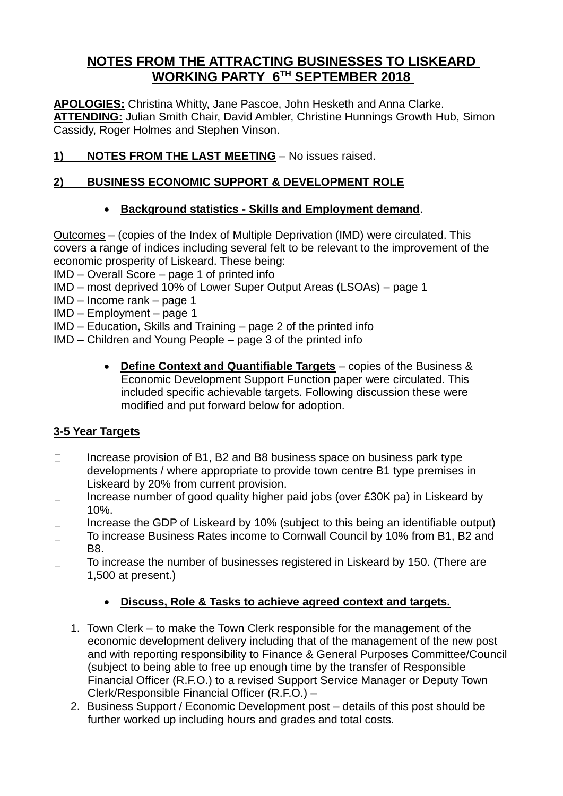# **NOTES FROM THE ATTRACTING BUSINESSES TO LISKEARD WORKING PARTY 6 TH SEPTEMBER 2018**

**APOLOGIES:** Christina Whitty, Jane Pascoe, John Hesketh and Anna Clarke. **ATTENDING:** Julian Smith Chair, David Ambler, Christine Hunnings Growth Hub, Simon Cassidy, Roger Holmes and Stephen Vinson.

**1) NOTES FROM THE LAST MEETING** – No issues raised.

## **2) BUSINESS ECONOMIC SUPPORT & DEVELOPMENT ROLE**

### • **Background statistics - Skills and Employment demand**.

Outcomes – (copies of the Index of Multiple Deprivation (IMD) were circulated. This covers a range of indices including several felt to be relevant to the improvement of the economic prosperity of Liskeard. These being:

IMD – Overall Score – page 1 of printed info

- IMD most deprived 10% of Lower Super Output Areas (LSOAs) page 1
- IMD Income rank page 1
- IMD Employment page 1
- IMD Education, Skills and Training page 2 of the printed info
- IMD Children and Young People page 3 of the printed info
	- **Define Context and Quantifiable Targets** copies of the Business & Economic Development Support Function paper were circulated. This included specific achievable targets. Following discussion these were modified and put forward below for adoption.

### **3-5 Year Targets**

- $\Box$ Increase provision of B1, B2 and B8 business space on business park type developments / where appropriate to provide town centre B1 type premises in Liskeard by 20% from current provision.
- Increase number of good quality higher paid jobs (over £30K pa) in Liskeard by  $\Box$ 10%.
- Increase the GDP of Liskeard by 10% (subject to this being an identifiable output)  $\Box$
- To increase Business Rates income to Cornwall Council by 10% from B1, B2 and  $\Box$ B8.
- $\Box$ To increase the number of businesses registered in Liskeard by 150. (There are 1,500 at present.)

### • **Discuss, Role & Tasks to achieve agreed context and targets.**

- 1. Town Clerk to make the Town Clerk responsible for the management of the economic development delivery including that of the management of the new post and with reporting responsibility to Finance & General Purposes Committee/Council (subject to being able to free up enough time by the transfer of Responsible Financial Officer (R.F.O.) to a revised Support Service Manager or Deputy Town Clerk/Responsible Financial Officer (R.F.O.) –
- 2. Business Support / Economic Development post details of this post should be further worked up including hours and grades and total costs.